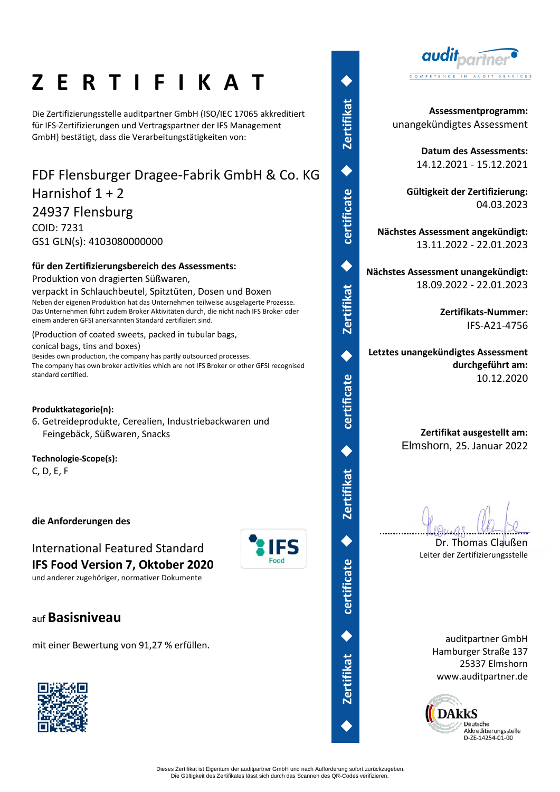# **Z E R T I F I K A T**

Die Zertifizierungsstelle auditpartner GmbH (ISO/IEC 17065 akkreditiert für IFS-Zertifizierungen und Vertragspartner der IFS Management GmbH) bestätigt, dass die Verarbeitungstätigkeiten von:

## FDF Flensburger Dragee-Fabrik GmbH & Co. KG Harnishof  $1 + 2$ 24937 Flensburg COID: 7231

GS1 GLN(s): 4103080000000

## **für den Zertifizierungsbereich des Assessments:**

Produktion von dragierten Süßwaren,

verpackt in Schlauchbeutel, Spitztüten, Dosen und Boxen Neben der eigenen Produktion hat das Unternehmen teilweise ausgelagerte Prozesse. Das Unternehmen führt zudem Broker Aktivitäten durch, die nicht nach IFS Broker oder einem anderen GFSI anerkannten Standard zertifiziert sind.

### (Production of coated sweets, packed in tubular bags,

conical bags, tins and boxes)

Besides own production, the company has partly outsourced processes. The company has own broker activities which are not IFS Broker or other GFSI recognised standard certified.

### **Produktkategorie(n):**

6. Getreideprodukte, Cerealien, Industriebackwaren und Feingebäck, Süßwaren, Snacks

### **Technologie-Scope(s):**

C, D, E, F

## **die Anforderungen des**

International Featured Standard **IFS Food Version 7, Oktober 2020**

und anderer zugehöriger, normativer Dokumente

## auf **Basisniveau**

mit einer Bewertung von 91,27 % erfüllen.



 **Zertifikat**  ◆ **certificate**  ◆ **Zertifikat**  ◆ **certificate**  ◆ **Zertifikat**  ◆ **certificate**  ◆ **Zertifikat**  ◆◆

◆

**certificate** 



**Assessmentprogramm:** unangekündigtes Assessment

> **Datum des Assessments:** 14.12.2021 - 15.12.2021

**Gültigkeit der Zertifizierung:** 04.03.2023

**Nächstes Assessment angekündigt:** 13.11.2022 - 22.01.2023

**Nächstes Assessment unangekündigt:** 18.09.2022 - 22.01.2023

> **Zertifikats-Nummer:** IFS-A21-4756

**Letztes unangekündigtes Assessment durchgeführt am:** 10.12.2020

### **Zertifikat ausgestellt am:** Elmshorn, 25. Januar 2022

Dr. Thomas Claußen Leiter der Zertifizierungsstelle

> auditpartner GmbH Hamburger Straße 137 25337 Elmshorn www.auditpartner.de